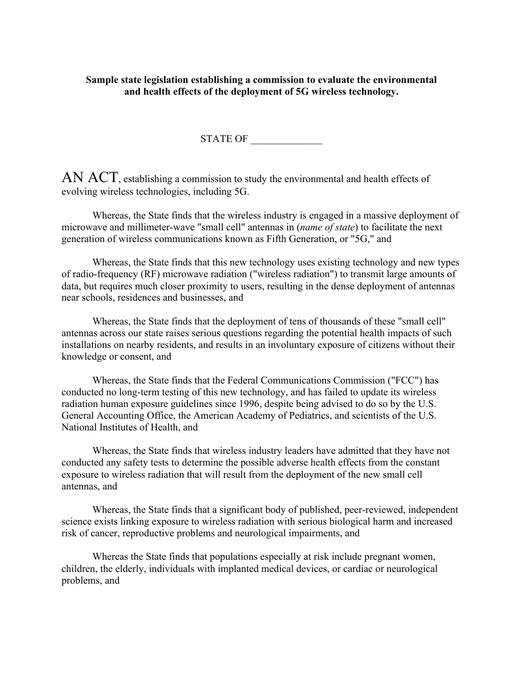#### **Sample state legislation establishing a commission to evaluate the environmental and health effects of the deployment of 5G wireless technology.**

STATE OF

AN ACT, establishing a commission to study the environmental and health effects of evolving wireless technologies, including 5G.

Whereas, the State finds that the wireless industry is engaged in a massive deployment of microwave and millimeter-wave "small cell" antennas in (*name of state*) to facilitate the next generation of wireless communications known as Fifth Generation, or "5G," and

Whereas, the State finds that this new technology uses existing technology and new types of radio-frequency (RF) microwave radiation ("wireless radiation") to transmit large amounts of data, but requires much closer proximity to users, resulting in the dense deployment of antennas near schools, residences and businesses, and

Whereas, the State finds that the deployment of tens of thousands of these "small cell" antennas across our state raises serious questions regarding the potential health impacts of such installations on nearby residents, and results in an involuntary exposure of citizens without their knowledge or consent, and

Whereas, the State finds that the Federal Communications Commission ("FCC") has conducted no long-term testing of this new technology, and has failed to update its wireless radiation human exposure guidelines since 1996, despite being advised to do so by the U.S. General Accounting Office, the American Academy of Pediatrics, and scientists of the U.S. National Institutes of Health, and

Whereas, the State finds that wireless industry leaders have admitted that they have not conducted any safety tests to determine the possible adverse health effects from the constant exposure to wireless radiation that will result from the deployment of the new small cell antennas, and

Whereas, the State finds that a significant body of published, peer-reviewed, independent science exists linking exposure to wireless radiation with serious biological harm and increased risk of cancer, reproductive problems and neurological impairments, and

Whereas the State finds that populations especially at risk include pregnant women, children, the elderly, individuals with implanted medical devices, or cardiac or neurological problems, and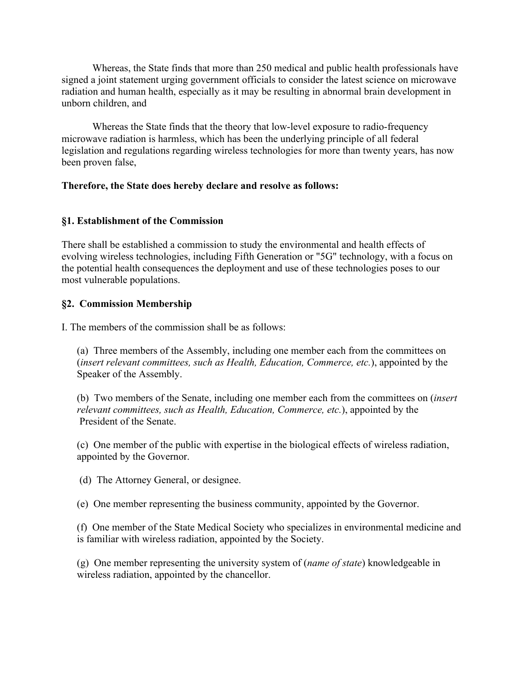Whereas, the State finds that more than 250 medical and public health professionals have signed a joint statement urging government officials to consider the latest science on microwave radiation and human health, especially as it may be resulting in abnormal brain development in unborn children, and

Whereas the State finds that the theory that low-level exposure to radio-frequency microwave radiation is harmless, which has been the underlying principle of all federal legislation and regulations regarding wireless technologies for more than twenty years, has now been proven false,

### **Therefore, the State does hereby declare and resolve as follows:**

### **§1. Establishment of the Commission**

There shall be established a commission to study the environmental and health effects of evolving wireless technologies, including Fifth Generation or "5G" technology, with a focus on the potential health consequences the deployment and use of these technologies poses to our most vulnerable populations.

### **§2. Commission Membership**

I. The members of the commission shall be as follows:

(a) Three members of the Assembly, including one member each from the committees on (*insert relevant committees, such as Health, Education, Commerce, etc.*), appointed by the Speaker of the Assembly.

(b) Two members of the Senate, including one member each from the committees on (*insert relevant committees, such as Health, Education, Commerce, etc.*), appointed by the President of the Senate.

(c) One member of the public with expertise in the biological effects of wireless radiation, appointed by the Governor.

(d) The Attorney General, or designee.

(e) One member representing the business community, appointed by the Governor.

(f) One member of the State Medical Society who specializes in environmental medicine and is familiar with wireless radiation, appointed by the Society.

(g) One member representing the university system of (*name of state*) knowledgeable in wireless radiation, appointed by the chancellor.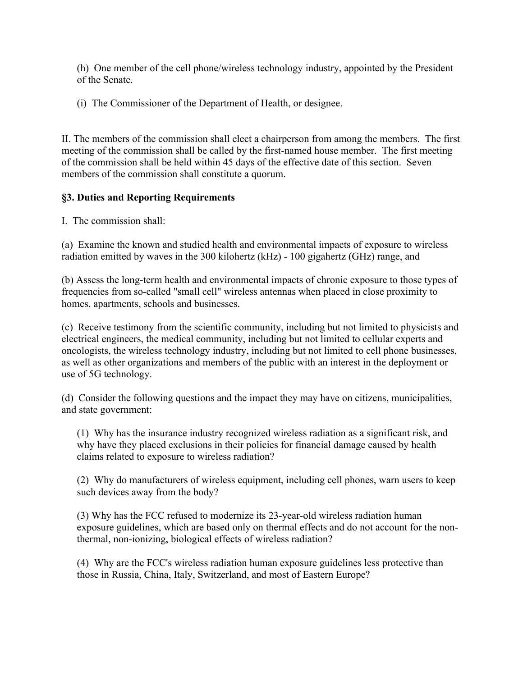(h) One member of the cell phone/wireless technology industry, appointed by the President of the Senate.

(i) The Commissioner of the Department of Health, or designee.

II. The members of the commission shall elect a chairperson from among the members. The first meeting of the commission shall be called by the first-named house member. The first meeting of the commission shall be held within 45 days of the effective date of this section. Seven members of the commission shall constitute a quorum.

# **§3. Duties and Reporting Requirements**

I. The commission shall:

(a) Examine the known and studied health and environmental impacts of exposure to wireless radiation emitted by waves in the 300 kilohertz (kHz) - 100 gigahertz (GHz) range, and

(b) Assess the long-term health and environmental impacts of chronic exposure to those types of frequencies from so-called "small cell" wireless antennas when placed in close proximity to homes, apartments, schools and businesses.

(c) Receive testimony from the scientific community, including but not limited to physicists and electrical engineers, the medical community, including but not limited to cellular experts and oncologists, the wireless technology industry, including but not limited to cell phone businesses, as well as other organizations and members of the public with an interest in the deployment or use of 5G technology.

(d) Consider the following questions and the impact they may have on citizens, municipalities, and state government:

(1) Why has the insurance industry recognized wireless radiation as a significant risk, and why have they placed exclusions in their policies for financial damage caused by health claims related to exposure to wireless radiation?

(2) Why do manufacturers of wireless equipment, including cell phones, warn users to keep such devices away from the body?

(3) Why has the FCC refused to modernize its 23-year-old wireless radiation human exposure guidelines, which are based only on thermal effects and do not account for the nonthermal, non-ionizing, biological effects of wireless radiation?

(4) Why are the FCC's wireless radiation human exposure guidelines less protective than those in Russia, China, Italy, Switzerland, and most of Eastern Europe?